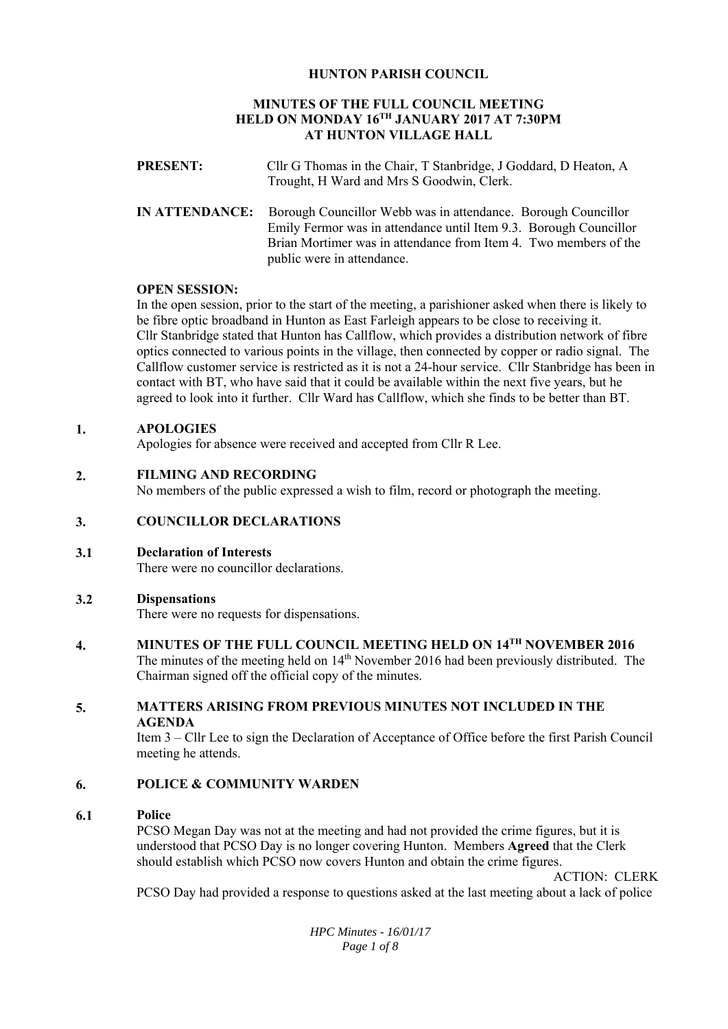# **HUNTON PARISH COUNCIL**

# **MINUTES OF THE FULL COUNCIL MEETING HELD ON MONDAY 16TH JANUARY 2017 AT 7:30PM AT HUNTON VILLAGE HALL**

- **PRESENT:** Cllr G Thomas in the Chair, T Stanbridge, J Goddard, D Heaton, A Trought, H Ward and Mrs S Goodwin, Clerk.
- **IN ATTENDANCE:** Borough Councillor Webb was in attendance. Borough Councillor Emily Fermor was in attendance until Item 9.3. Borough Councillor Brian Mortimer was in attendance from Item 4. Two members of the public were in attendance.

## **OPEN SESSION:**

In the open session, prior to the start of the meeting, a parishioner asked when there is likely to be fibre optic broadband in Hunton as East Farleigh appears to be close to receiving it. Cllr Stanbridge stated that Hunton has Callflow, which provides a distribution network of fibre optics connected to various points in the village, then connected by copper or radio signal. The Callflow customer service is restricted as it is not a 24-hour service. Cllr Stanbridge has been in contact with BT, who have said that it could be available within the next five years, but he agreed to look into it further. Cllr Ward has Callflow, which she finds to be better than BT.

## **1. APOLOGIES**

Apologies for absence were received and accepted from Cllr R Lee.

## **2. FILMING AND RECORDING**

No members of the public expressed a wish to film, record or photograph the meeting.

## **3. COUNCILLOR DECLARATIONS**

**3.1 Declaration of Interests** 

There were no councillor declarations.

## **3.2 Dispensations**

There were no requests for dispensations.

**4. MINUTES OF THE FULL COUNCIL MEETING HELD ON 14TH NOVEMBER 2016** 

The minutes of the meeting held on  $14<sup>th</sup>$  November 2016 had been previously distributed. The Chairman signed off the official copy of the minutes.

## **5. MATTERS ARISING FROM PREVIOUS MINUTES NOT INCLUDED IN THE AGENDA**

Item 3 – Cllr Lee to sign the Declaration of Acceptance of Office before the first Parish Council meeting he attends.

## **6. POLICE & COMMUNITY WARDEN**

#### **6.1 Police**

PCSO Megan Day was not at the meeting and had not provided the crime figures, but it is understood that PCSO Day is no longer covering Hunton. Members **Agreed** that the Clerk should establish which PCSO now covers Hunton and obtain the crime figures.

ACTION: CLERK

PCSO Day had provided a response to questions asked at the last meeting about a lack of police

*HPC Minutes - 16/01/17 Page 1 of 8*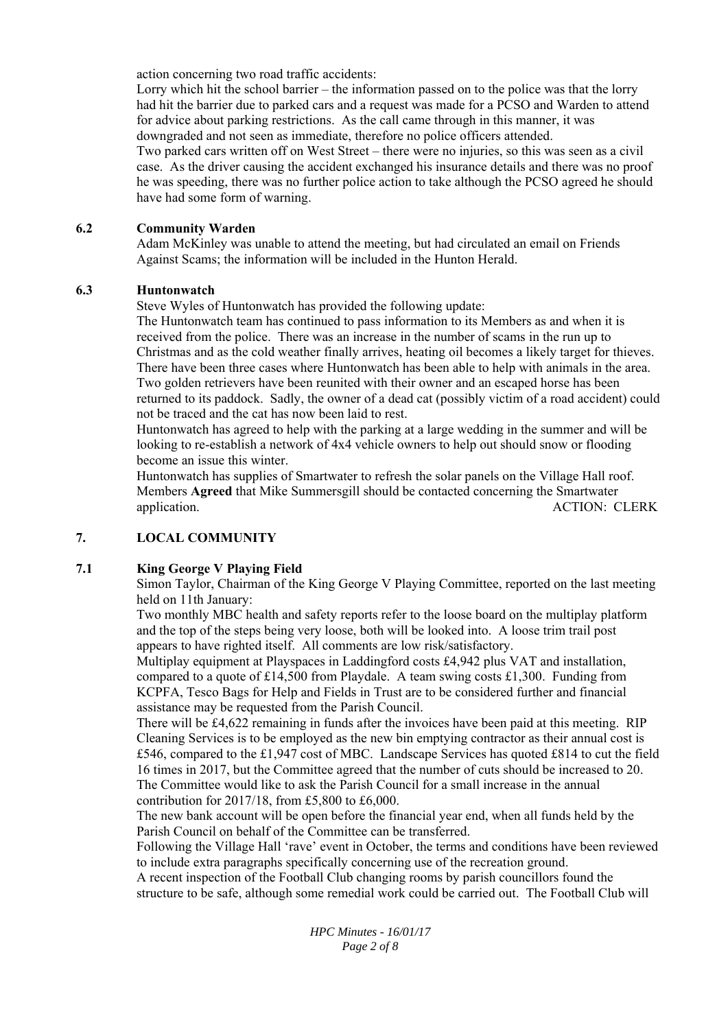action concerning two road traffic accidents:

Lorry which hit the school barrier – the information passed on to the police was that the lorry had hit the barrier due to parked cars and a request was made for a PCSO and Warden to attend for advice about parking restrictions. As the call came through in this manner, it was downgraded and not seen as immediate, therefore no police officers attended.

Two parked cars written off on West Street – there were no injuries, so this was seen as a civil case. As the driver causing the accident exchanged his insurance details and there was no proof he was speeding, there was no further police action to take although the PCSO agreed he should have had some form of warning.

#### **6.2 Community Warden**

Adam McKinley was unable to attend the meeting, but had circulated an email on Friends Against Scams; the information will be included in the Hunton Herald.

#### **6.3 Huntonwatch**

Steve Wyles of Huntonwatch has provided the following update:

The Huntonwatch team has continued to pass information to its Members as and when it is received from the police. There was an increase in the number of scams in the run up to Christmas and as the cold weather finally arrives, heating oil becomes a likely target for thieves. There have been three cases where Huntonwatch has been able to help with animals in the area. Two golden retrievers have been reunited with their owner and an escaped horse has been returned to its paddock. Sadly, the owner of a dead cat (possibly victim of a road accident) could not be traced and the cat has now been laid to rest.

Huntonwatch has agreed to help with the parking at a large wedding in the summer and will be looking to re-establish a network of 4x4 vehicle owners to help out should snow or flooding become an issue this winter.

Huntonwatch has supplies of Smartwater to refresh the solar panels on the Village Hall roof. Members **Agreed** that Mike Summersgill should be contacted concerning the Smartwater application. ACTION: CLERK

## **7. LOCAL COMMUNITY**

## **7.1 King George V Playing Field**

Simon Taylor, Chairman of the King George V Playing Committee, reported on the last meeting held on 11th January:

Two monthly MBC health and safety reports refer to the loose board on the multiplay platform and the top of the steps being very loose, both will be looked into. A loose trim trail post appears to have righted itself. All comments are low risk/satisfactory.

Multiplay equipment at Playspaces in Laddingford costs £4,942 plus VAT and installation, compared to a quote of £14,500 from Playdale. A team swing costs £1,300. Funding from KCPFA, Tesco Bags for Help and Fields in Trust are to be considered further and financial assistance may be requested from the Parish Council.

There will be £4,622 remaining in funds after the invoices have been paid at this meeting. RIP Cleaning Services is to be employed as the new bin emptying contractor as their annual cost is £546, compared to the £1,947 cost of MBC. Landscape Services has quoted £814 to cut the field 16 times in 2017, but the Committee agreed that the number of cuts should be increased to 20. The Committee would like to ask the Parish Council for a small increase in the annual contribution for 2017/18, from £5,800 to £6,000.

The new bank account will be open before the financial year end, when all funds held by the Parish Council on behalf of the Committee can be transferred.

Following the Village Hall 'rave' event in October, the terms and conditions have been reviewed to include extra paragraphs specifically concerning use of the recreation ground.

A recent inspection of the Football Club changing rooms by parish councillors found the structure to be safe, although some remedial work could be carried out. The Football Club will

> *HPC Minutes - 16/01/17 Page 2 of 8*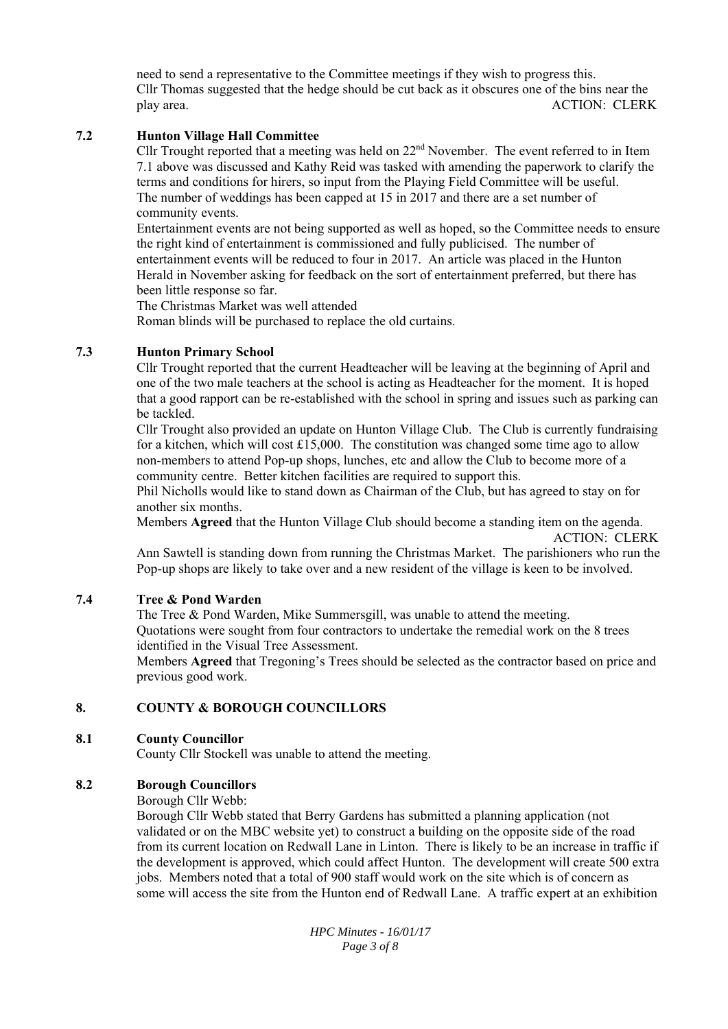need to send a representative to the Committee meetings if they wish to progress this. Cllr Thomas suggested that the hedge should be cut back as it obscures one of the bins near the play area. ACTION: CLERK

## **7.2 Hunton Village Hall Committee**

Cllr Trought reported that a meeting was held on 22<sup>nd</sup> November. The event referred to in Item 7.1 above was discussed and Kathy Reid was tasked with amending the paperwork to clarify the terms and conditions for hirers, so input from the Playing Field Committee will be useful. The number of weddings has been capped at 15 in 2017 and there are a set number of community events.

Entertainment events are not being supported as well as hoped, so the Committee needs to ensure the right kind of entertainment is commissioned and fully publicised. The number of entertainment events will be reduced to four in 2017. An article was placed in the Hunton Herald in November asking for feedback on the sort of entertainment preferred, but there has been little response so far.

The Christmas Market was well attended

Roman blinds will be purchased to replace the old curtains.

## **7.3 Hunton Primary School**

Cllr Trought reported that the current Headteacher will be leaving at the beginning of April and one of the two male teachers at the school is acting as Headteacher for the moment. It is hoped that a good rapport can be re-established with the school in spring and issues such as parking can be tackled.

Cllr Trought also provided an update on Hunton Village Club. The Club is currently fundraising for a kitchen, which will cost  $£15,000$ . The constitution was changed some time ago to allow non-members to attend Pop-up shops, lunches, etc and allow the Club to become more of a community centre. Better kitchen facilities are required to support this.

Phil Nicholls would like to stand down as Chairman of the Club, but has agreed to stay on for another six months.

Members **Agreed** that the Hunton Village Club should become a standing item on the agenda. ACTION: CLERK

Ann Sawtell is standing down from running the Christmas Market. The parishioners who run the Pop-up shops are likely to take over and a new resident of the village is keen to be involved.

#### **7.4 Tree & Pond Warden**

The Tree & Pond Warden, Mike Summersgill, was unable to attend the meeting. Quotations were sought from four contractors to undertake the remedial work on the 8 trees identified in the Visual Tree Assessment.

Members **Agreed** that Tregoning's Trees should be selected as the contractor based on price and previous good work.

#### **8. COUNTY & BOROUGH COUNCILLORS**

#### **8.1 County Councillor**

County Cllr Stockell was unable to attend the meeting.

#### **8.2 Borough Councillors**

Borough Cllr Webb:

Borough Cllr Webb stated that Berry Gardens has submitted a planning application (not validated or on the MBC website yet) to construct a building on the opposite side of the road from its current location on Redwall Lane in Linton. There is likely to be an increase in traffic if the development is approved, which could affect Hunton. The development will create 500 extra jobs. Members noted that a total of 900 staff would work on the site which is of concern as some will access the site from the Hunton end of Redwall Lane. A traffic expert at an exhibition

> *HPC Minutes - 16/01/17 Page 3 of 8*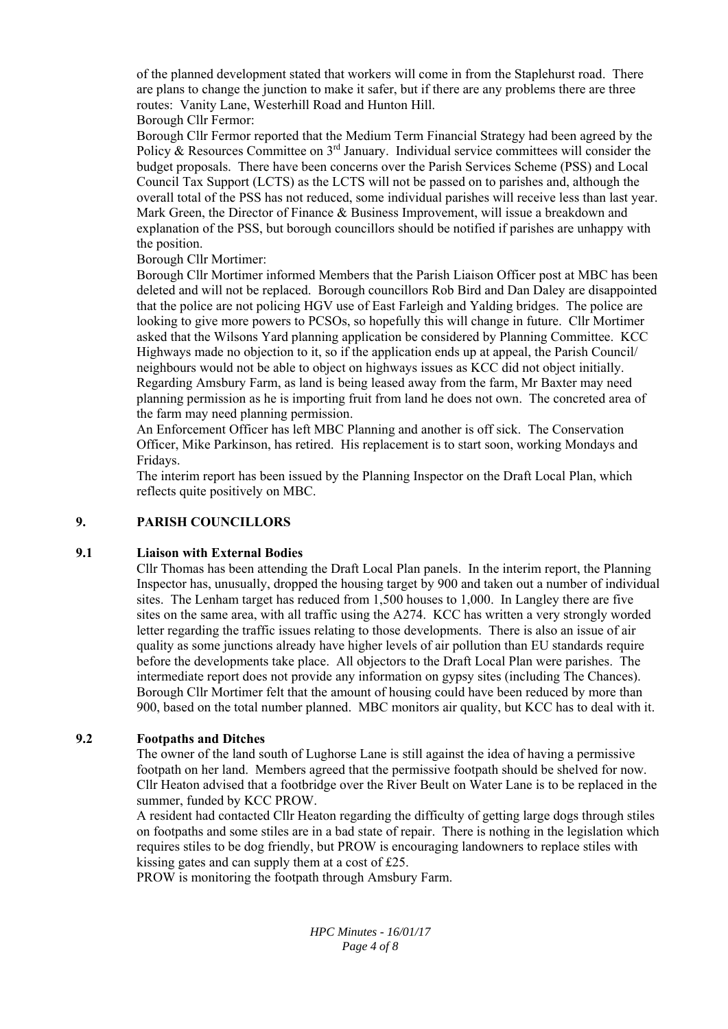of the planned development stated that workers will come in from the Staplehurst road. There are plans to change the junction to make it safer, but if there are any problems there are three routes: Vanity Lane, Westerhill Road and Hunton Hill. Borough Cllr Fermor:

Borough Cllr Fermor reported that the Medium Term Financial Strategy had been agreed by the Policy & Resources Committee on 3<sup>rd</sup> January. Individual service committees will consider the budget proposals. There have been concerns over the Parish Services Scheme (PSS) and Local Council Tax Support (LCTS) as the LCTS will not be passed on to parishes and, although the overall total of the PSS has not reduced, some individual parishes will receive less than last year. Mark Green, the Director of Finance & Business Improvement, will issue a breakdown and explanation of the PSS, but borough councillors should be notified if parishes are unhappy with the position.

Borough Cllr Mortimer:

Borough Cllr Mortimer informed Members that the Parish Liaison Officer post at MBC has been deleted and will not be replaced. Borough councillors Rob Bird and Dan Daley are disappointed that the police are not policing HGV use of East Farleigh and Yalding bridges. The police are looking to give more powers to PCSOs, so hopefully this will change in future. Cllr Mortimer asked that the Wilsons Yard planning application be considered by Planning Committee. KCC Highways made no objection to it, so if the application ends up at appeal, the Parish Council/ neighbours would not be able to object on highways issues as KCC did not object initially. Regarding Amsbury Farm, as land is being leased away from the farm, Mr Baxter may need planning permission as he is importing fruit from land he does not own. The concreted area of the farm may need planning permission.

An Enforcement Officer has left MBC Planning and another is off sick. The Conservation Officer, Mike Parkinson, has retired. His replacement is to start soon, working Mondays and Fridays.

The interim report has been issued by the Planning Inspector on the Draft Local Plan, which reflects quite positively on MBC.

## **9. PARISH COUNCILLORS**

#### **9.1 Liaison with External Bodies**

Cllr Thomas has been attending the Draft Local Plan panels. In the interim report, the Planning Inspector has, unusually, dropped the housing target by 900 and taken out a number of individual sites. The Lenham target has reduced from 1,500 houses to 1,000. In Langley there are five sites on the same area, with all traffic using the A274. KCC has written a very strongly worded letter regarding the traffic issues relating to those developments. There is also an issue of air quality as some junctions already have higher levels of air pollution than EU standards require before the developments take place. All objectors to the Draft Local Plan were parishes. The intermediate report does not provide any information on gypsy sites (including The Chances). Borough Cllr Mortimer felt that the amount of housing could have been reduced by more than 900, based on the total number planned. MBC monitors air quality, but KCC has to deal with it.

## **9.2 Footpaths and Ditches**

The owner of the land south of Lughorse Lane is still against the idea of having a permissive footpath on her land. Members agreed that the permissive footpath should be shelved for now. Cllr Heaton advised that a footbridge over the River Beult on Water Lane is to be replaced in the summer, funded by KCC PROW.

A resident had contacted Cllr Heaton regarding the difficulty of getting large dogs through stiles on footpaths and some stiles are in a bad state of repair. There is nothing in the legislation which requires stiles to be dog friendly, but PROW is encouraging landowners to replace stiles with kissing gates and can supply them at a cost of £25.

PROW is monitoring the footpath through Amsbury Farm.

*HPC Minutes - 16/01/17 Page 4 of 8*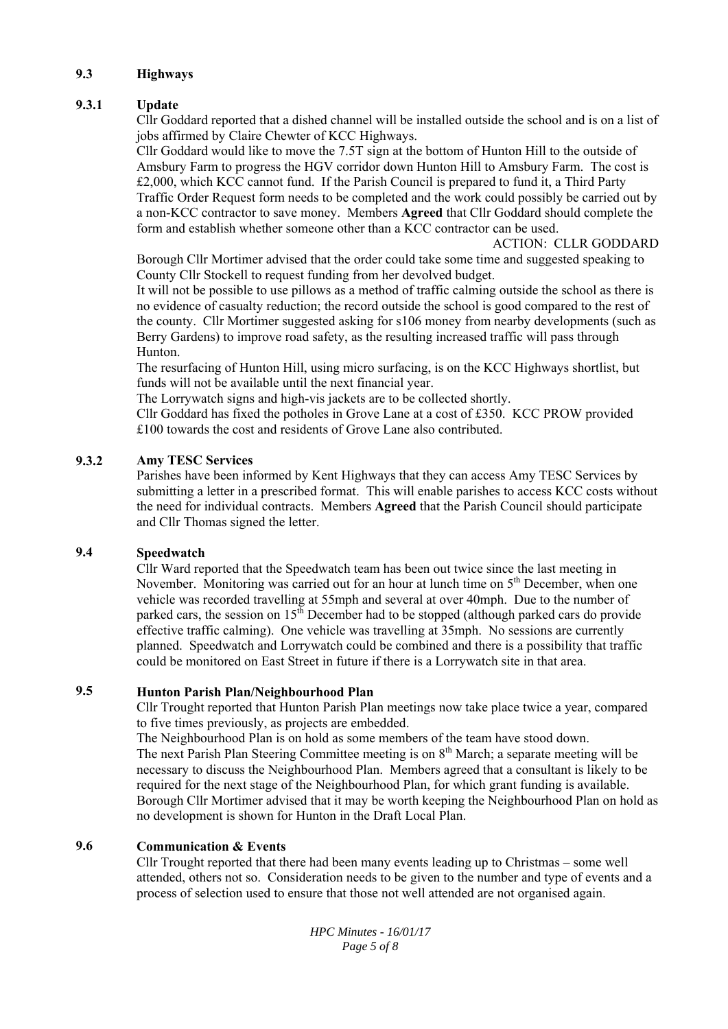## **9.3 Highways**

## **9.3.1 Update**

Cllr Goddard reported that a dished channel will be installed outside the school and is on a list of jobs affirmed by Claire Chewter of KCC Highways.

Cllr Goddard would like to move the 7.5T sign at the bottom of Hunton Hill to the outside of Amsbury Farm to progress the HGV corridor down Hunton Hill to Amsbury Farm. The cost is £2,000, which KCC cannot fund. If the Parish Council is prepared to fund it, a Third Party Traffic Order Request form needs to be completed and the work could possibly be carried out by a non-KCC contractor to save money. Members **Agreed** that Cllr Goddard should complete the form and establish whether someone other than a KCC contractor can be used.

ACTION: CLLR GODDARD

Borough Cllr Mortimer advised that the order could take some time and suggested speaking to County Cllr Stockell to request funding from her devolved budget.

It will not be possible to use pillows as a method of traffic calming outside the school as there is no evidence of casualty reduction; the record outside the school is good compared to the rest of the county. Cllr Mortimer suggested asking for s106 money from nearby developments (such as Berry Gardens) to improve road safety, as the resulting increased traffic will pass through Hunton.

The resurfacing of Hunton Hill, using micro surfacing, is on the KCC Highways shortlist, but funds will not be available until the next financial year.

The Lorrywatch signs and high-vis jackets are to be collected shortly.

Cllr Goddard has fixed the potholes in Grove Lane at a cost of £350. KCC PROW provided £100 towards the cost and residents of Grove Lane also contributed.

#### **9.3.2 Amy TESC Services**

Parishes have been informed by Kent Highways that they can access Amy TESC Services by submitting a letter in a prescribed format. This will enable parishes to access KCC costs without the need for individual contracts. Members **Agreed** that the Parish Council should participate and Cllr Thomas signed the letter.

#### **9.4 Speedwatch**

Cllr Ward reported that the Speedwatch team has been out twice since the last meeting in November. Monitoring was carried out for an hour at lunch time on 5<sup>th</sup> December, when one vehicle was recorded travelling at 55mph and several at over 40mph. Due to the number of parked cars, the session on  $15^{th}$  December had to be stopped (although parked cars do provide effective traffic calming). One vehicle was travelling at 35mph. No sessions are currently planned. Speedwatch and Lorrywatch could be combined and there is a possibility that traffic could be monitored on East Street in future if there is a Lorrywatch site in that area.

## **9.5 Hunton Parish Plan/Neighbourhood Plan**

Cllr Trought reported that Hunton Parish Plan meetings now take place twice a year, compared to five times previously, as projects are embedded.

The Neighbourhood Plan is on hold as some members of the team have stood down. The next Parish Plan Steering Committee meeting is on 8<sup>th</sup> March; a separate meeting will be necessary to discuss the Neighbourhood Plan. Members agreed that a consultant is likely to be required for the next stage of the Neighbourhood Plan, for which grant funding is available. Borough Cllr Mortimer advised that it may be worth keeping the Neighbourhood Plan on hold as no development is shown for Hunton in the Draft Local Plan.

## **9.6 Communication & Events**

Cllr Trought reported that there had been many events leading up to Christmas – some well attended, others not so. Consideration needs to be given to the number and type of events and a process of selection used to ensure that those not well attended are not organised again.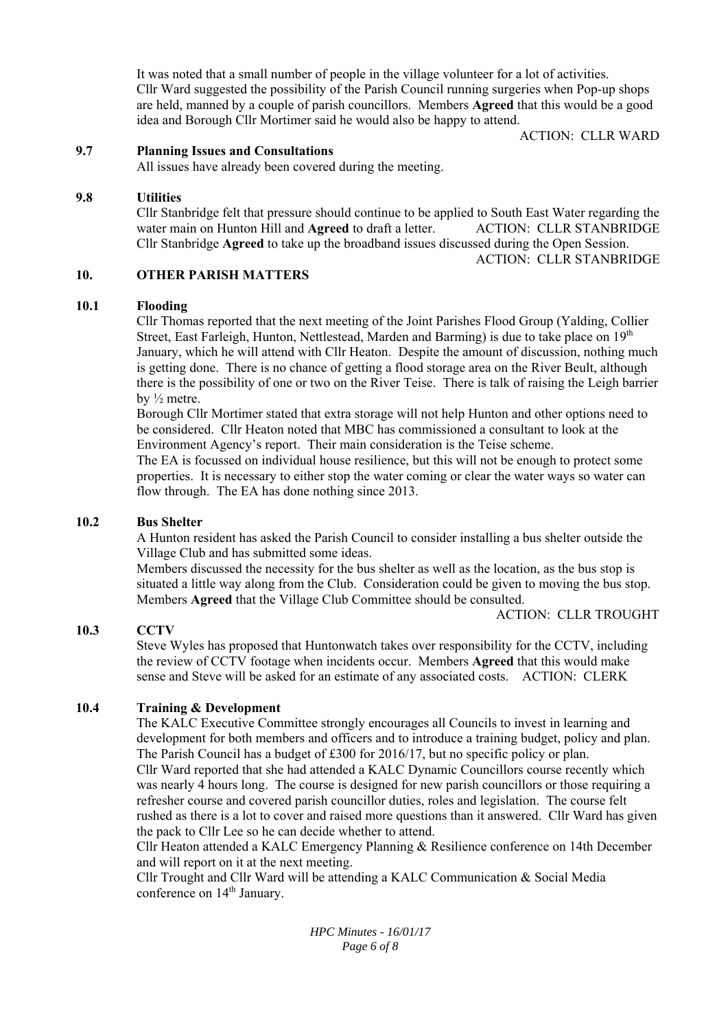It was noted that a small number of people in the village volunteer for a lot of activities. Cllr Ward suggested the possibility of the Parish Council running surgeries when Pop-up shops are held, manned by a couple of parish councillors. Members **Agreed** that this would be a good idea and Borough Cllr Mortimer said he would also be happy to attend.

ACTION: CLLR WARD

#### **9.7 Planning Issues and Consultations**

All issues have already been covered during the meeting.

#### **9.8 Utilities**

Cllr Stanbridge felt that pressure should continue to be applied to South East Water regarding the water main on Hunton Hill and **Agreed** to draft a letter. ACTION: CLLR STANBRIDGE Cllr Stanbridge **Agreed** to take up the broadband issues discussed during the Open Session.

ACTION: CLLR STANBRIDGE

#### **10. OTHER PARISH MATTERS**

#### **10.1 Flooding**

Cllr Thomas reported that the next meeting of the Joint Parishes Flood Group (Yalding, Collier Street, East Farleigh, Hunton, Nettlestead, Marden and Barming) is due to take place on  $19<sup>th</sup>$ January, which he will attend with Cllr Heaton. Despite the amount of discussion, nothing much is getting done. There is no chance of getting a flood storage area on the River Beult, although there is the possibility of one or two on the River Teise. There is talk of raising the Leigh barrier by ½ metre.

Borough Cllr Mortimer stated that extra storage will not help Hunton and other options need to be considered. Cllr Heaton noted that MBC has commissioned a consultant to look at the Environment Agency's report. Their main consideration is the Teise scheme.

The EA is focussed on individual house resilience, but this will not be enough to protect some properties. It is necessary to either stop the water coming or clear the water ways so water can flow through. The EA has done nothing since 2013.

#### **10.2 Bus Shelter**

A Hunton resident has asked the Parish Council to consider installing a bus shelter outside the Village Club and has submitted some ideas.

Members discussed the necessity for the bus shelter as well as the location, as the bus stop is situated a little way along from the Club. Consideration could be given to moving the bus stop. Members **Agreed** that the Village Club Committee should be consulted.

ACTION: CLLR TROUGHT

#### **10.3 CCTV**

Steve Wyles has proposed that Huntonwatch takes over responsibility for the CCTV, including the review of CCTV footage when incidents occur. Members **Agreed** that this would make sense and Steve will be asked for an estimate of any associated costs. ACTION: CLERK

#### **10.4 Training & Development**

The KALC Executive Committee strongly encourages all Councils to invest in learning and development for both members and officers and to introduce a training budget, policy and plan. The Parish Council has a budget of £300 for 2016/17, but no specific policy or plan. Cllr Ward reported that she had attended a KALC Dynamic Councillors course recently which was nearly 4 hours long. The course is designed for new parish councillors or those requiring a refresher course and covered parish councillor duties, roles and legislation. The course felt rushed as there is a lot to cover and raised more questions than it answered. Cllr Ward has given the pack to Cllr Lee so he can decide whether to attend.

Cllr Heaton attended a KALC Emergency Planning & Resilience conference on 14th December and will report on it at the next meeting.

Cllr Trought and Cllr Ward will be attending a KALC Communication & Social Media conference on 14<sup>th</sup> January.

> *HPC Minutes - 16/01/17 Page 6 of 8*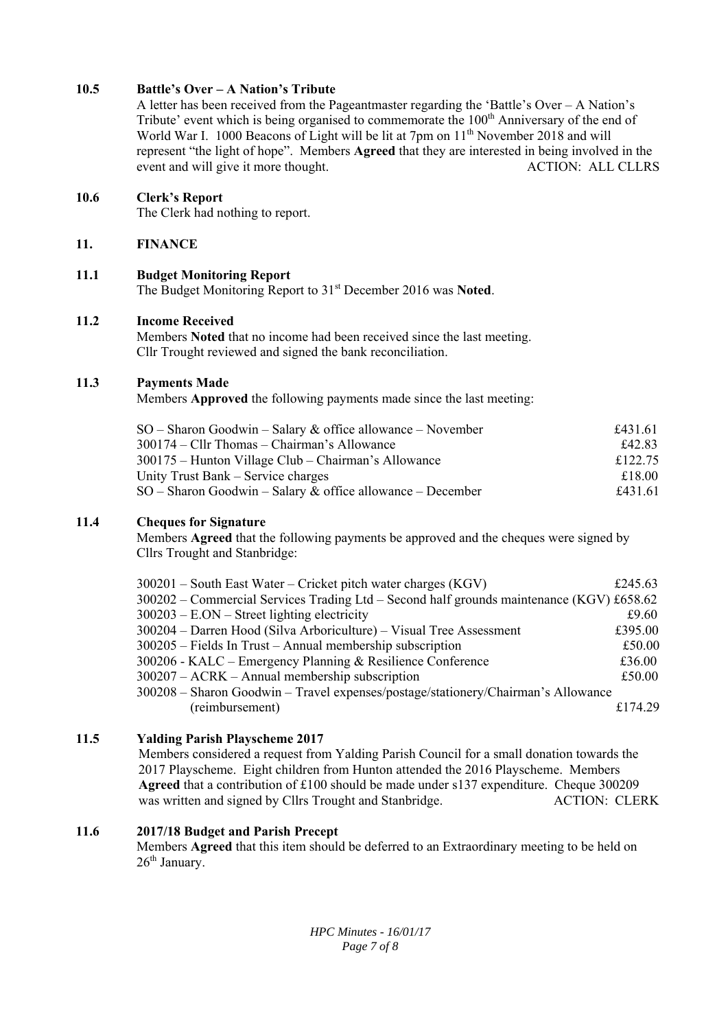## **10.5 Battle's Over – A Nation's Tribute**

A letter has been received from the Pageantmaster regarding the 'Battle's Over – A Nation's Tribute' event which is being organised to commemorate the 100<sup>th</sup> Anniversary of the end of World War I. 1000 Beacons of Light will be lit at 7pm on 11<sup>th</sup> November 2018 and will represent "the light of hope". Members **Agreed** that they are interested in being involved in the event and will give it more thought. ACTION: ALL CLLRS

## **10.6 Clerk's Report**

The Clerk had nothing to report.

## **11. FINANCE**

## **11.1 Budget Monitoring Report**

The Budget Monitoring Report to 31st December 2016 was **Noted**.

## **11.2 Income Received**

Members **Noted** that no income had been received since the last meeting. Cllr Trought reviewed and signed the bank reconciliation.

## **11.3 Payments Made**

Members **Approved** the following payments made since the last meeting:

| $SO -$ Sharon Goodwin – Salary & office allowance – November | £431.61 |
|--------------------------------------------------------------|---------|
| $300174 - Cllr$ Thomas – Chairman's Allowance                | £42.83  |
| 300175 – Hunton Village Club – Chairman's Allowance          | £122.75 |
| Unity Trust Bank – Service charges                           | £18.00  |
| $SO -$ Sharon Goodwin – Salary & office allowance – December | £431.61 |

## **11.4 Cheques for Signature**

Members **Agreed** that the following payments be approved and the cheques were signed by Cllrs Trought and Stanbridge:

| $300201$ – South East Water – Cricket pitch water charges (KGV)                            | £245.63  |
|--------------------------------------------------------------------------------------------|----------|
| $300202$ – Commercial Services Trading Ltd – Second half grounds maintenance (KGV) £658.62 |          |
| $300203 - E. ON - Street lighting electricity$                                             | £9.60    |
| 300204 – Darren Hood (Silva Arboriculture) – Visual Tree Assessment                        | £395.00  |
| $300205$ – Fields In Trust – Annual membership subscription                                | £50.00   |
| 300206 - KALC – Emergency Planning & Resilience Conference                                 | £36.00   |
| $300207 - ACRK - Annual membership$ subscription                                           | £50.00   |
| 300208 - Sharon Goodwin - Travel expenses/postage/stationery/Chairman's Allowance          |          |
| (reimbursement)                                                                            | f.174.29 |

## **11.5 Yalding Parish Playscheme 2017**

Members considered a request from Yalding Parish Council for a small donation towards the 2017 Playscheme. Eight children from Hunton attended the 2016 Playscheme. Members **Agreed** that a contribution of £100 should be made under s137 expenditure. Cheque 300209 was written and signed by Cllrs Trought and Stanbridge. ACTION: CLERK

## **11.6 2017/18 Budget and Parish Precept**

Members **Agreed** that this item should be deferred to an Extraordinary meeting to be held on  $26<sup>th</sup>$  January.